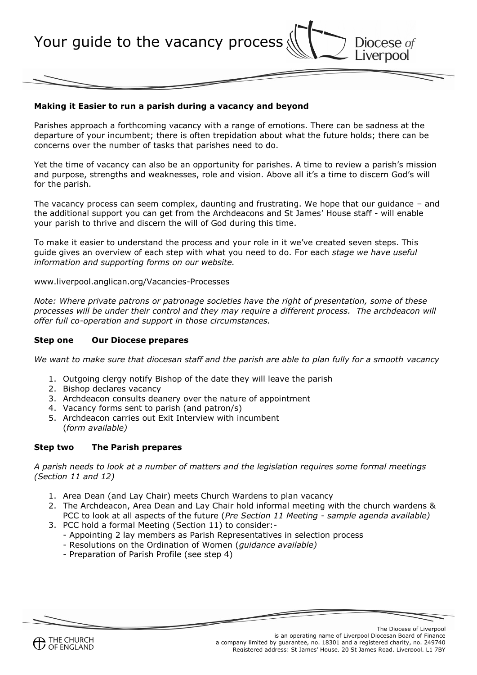Diocese of<br>Liverpool Your guide to the vacancy process

#### **Making it Easier to run a parish during a vacancy and beyond**

Parishes approach a forthcoming vacancy with a range of emotions. There can be sadness at the departure of your incumbent; there is often trepidation about what the future holds; there can be concerns over the number of tasks that parishes need to do.

Yet the time of vacancy can also be an opportunity for parishes. A time to review a parish's mission and purpose, strengths and weaknesses, role and vision. Above all it's a time to discern God's will for the parish.

The vacancy process can seem complex, daunting and frustrating. We hope that our guidance – and the additional support you can get from the Archdeacons and St James' House staff - will enable your parish to thrive and discern the will of God during this time.

To make it easier to understand the process and your role in it we've created seven steps. This guide gives an overview of each step with what you need to do. For each *stage we have useful information and supporting forms on our website.* 

www.liverpool.anglican.org/Vacancies-Processes

*Note: Where private patrons or patronage societies have the right of presentation, some of these processes will be under their control and they may require a different process. The archdeacon will offer full co-operation and support in those circumstances.*

#### **Step one Our Diocese prepares**

*We want to make sure that diocesan staff and the parish are able to plan fully for a smooth vacancy*

- 1. Outgoing clergy notify Bishop of the date they will leave the parish
- 2. Bishop declares vacancy
- 3. Archdeacon consults deanery over the nature of appointment
- 4. Vacancy forms sent to parish (and patron/s)
- 5. Archdeacon carries out Exit Interview with incumbent (*form available)*

#### **Step two The Parish prepares**

*A parish needs to look at a number of matters and the legislation requires some formal meetings (Section 11 and 12)* 

- 1. Area Dean (and Lay Chair) meets Church Wardens to plan vacancy
- 2. The Archdeacon, Area Dean and Lay Chair hold informal meeting with the church wardens & PCC to look at all aspects of the future (*Pre Section 11 Meeting* - *sample agenda available)*
- 3. PCC hold a formal Meeting (Section 11) to consider:-
	- Appointing 2 lay members as Parish Representatives in selection process
	- Resolutions on the Ordination of Women (*guidance available)*
	- Preparation of Parish Profile (see step 4)

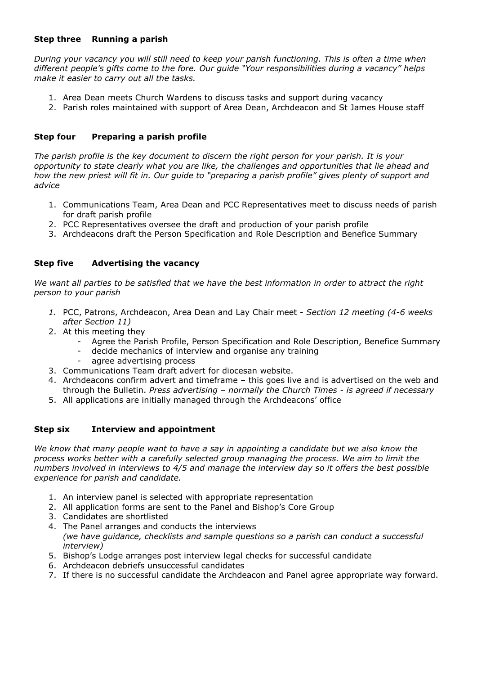# **Step three Running a parish**

*During your vacancy you will still need to keep your parish functioning. This is often a time when different people's gifts come to the fore. Our guide "Your responsibilities during a vacancy" helps make it easier to carry out all the tasks.*

- 1. Area Dean meets Church Wardens to discuss tasks and support during vacancy
- 2. Parish roles maintained with support of Area Dean, Archdeacon and St James House staff

## **Step four Preparing a parish profile**

*The parish profile is the key document to discern the right person for your parish. It is your opportunity to state clearly what you are like, the challenges and opportunities that lie ahead and how the new priest will fit in. Our guide to "preparing a parish profile" gives plenty of support and advice*

- 1. Communications Team, Area Dean and PCC Representatives meet to discuss needs of parish for draft parish profile
- 2. PCC Representatives oversee the draft and production of your parish profile
- 3. Archdeacons draft the Person Specification and Role Description and Benefice Summary

## **Step five Advertising the vacancy**

*We want all parties to be satisfied that we have the best information in order to attract the right person to your parish*

- *1.* PCC, Patrons, Archdeacon, Area Dean and Lay Chair meet *Section 12 meeting (4-6 weeks after Section 11)*
- 2. At this meeting they
	- Agree the Parish Profile, Person Specification and Role Description, Benefice Summary
	- decide mechanics of interview and organise any training
	- agree advertising process
- 3. Communications Team draft advert for diocesan website.
- 4. Archdeacons confirm advert and timeframe this goes live and is advertised on the web and through the Bulletin. *Press advertising – normally the Church Times - is agreed if necessary*
- 5. All applications are initially managed through the Archdeacons' office

## **Step six Interview and appointment**

*We know that many people want to have a say in appointing a candidate but we also know the process works better with a carefully selected group managing the process. We aim to limit the numbers involved in interviews to 4/5 and manage the interview day so it offers the best possible experience for parish and candidate.*

- 1. An interview panel is selected with appropriate representation
- 2. All application forms are sent to the Panel and Bishop's Core Group
- 3. Candidates are shortlisted
- 4. The Panel arranges and conducts the interviews *(we have guidance, checklists and sample questions so a parish can conduct a successful interview)*
- 5. Bishop's Lodge arranges post interview legal checks for successful candidate
- 6. Archdeacon debriefs unsuccessful candidates
- 7. If there is no successful candidate the Archdeacon and Panel agree appropriate way forward.